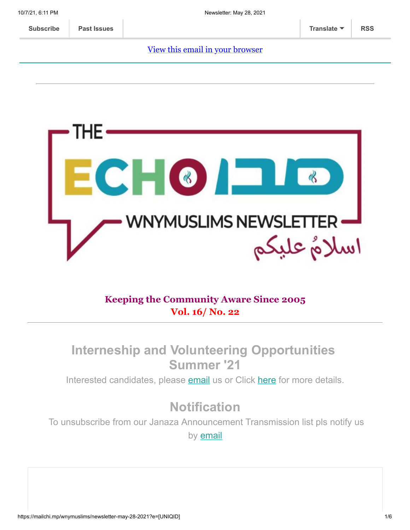#### [View this email in your browser](https://mailchi.mp/wnymuslims/newsletter-may-28-2021?e=[UNIQID])



#### **Keeping the Community Aware Since 2005 Vol. 16/ No. 22**

## **Interneship and Volunteering Opportunities Summer '21**

Interested candidates, please [email](mailto:wnymuslims@wnymuslims.org) us or Click [here](https://wnymuslims.org/volunteer-and-internships-opportunities/) for more details.

# **Notification**

To unsubscribe from our Janaza Announcement Transmission list pls notify us by **[email](mailto:wnym@wnymuslims.org?subject=Janaza%20Announcement%20List%20Removal%20Request)**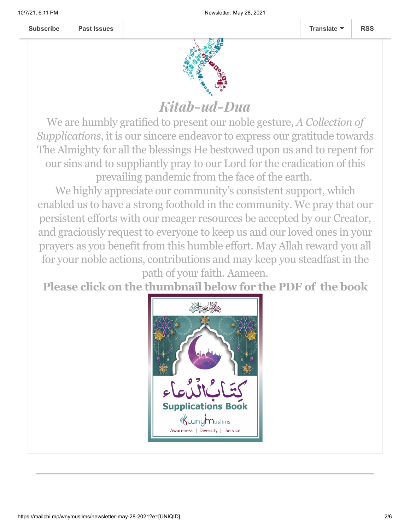

# Kitab-ud-Dua

We are humbly gratified to present our noble gesture, *A Collection of Supplications*, it is our sincere endeavor to express our gratitude towards The Almighty for all the blessings He bestowed upon us and to repent for our sins and to suppliantly pray to our Lord for the eradication of this prevailing pandemic from the face of the earth.

We highly appreciate our community's consistent support, which enabled us to have a strong foothold in the community. We pray that our persistent efforts with our meager resources be accepted by our Creator, and graciously request to everyone to keep us and our loved ones in your prayers as you benefit from this humble effort. May Allah reward you all for your noble actions, contributions and may keep you steadfast in the

path of your faith. Aameen.

**Please click on the thumbnail below for the PDF of the book**

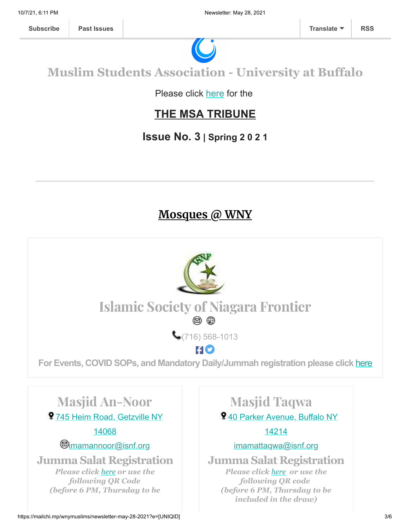

## **Muslim Students Association - University at Buffalo**

Please click [here](https://wnymuslims.org/event/the-msa-tribune/) for the

### **THE MSA TRIBUNE**

### **Issue No. 3 | Spring 2 0 2 1**

### **Mosques @ WNY**

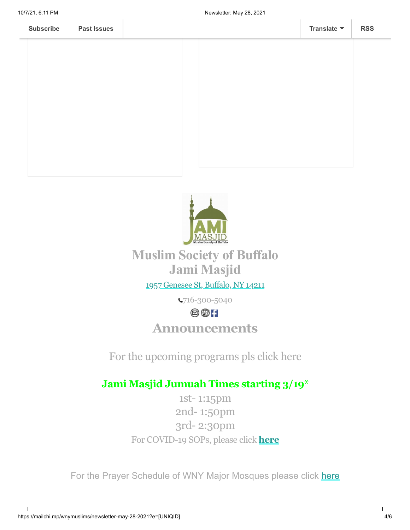



## **Muslim Society of Buffalo Jami Masjid**

#### 1957 [Genesee](https://www.google.com/maps/place/Universal+School/@42.9136906,-78.8116585,17z/data=!3m1!4b1!4m5!3m4!1s0x89d376b466438e9f:0xda418f4c41063eaf!8m2!3d42.9136906!4d-78.8094698) St, Buffalo, NY 14211

716-300-5040

### $@@H$

## **Announcements**

For the upcoming programs pls click here

### **Jami Masjid Jumuah Times starting 3/19\***

1st- 1:15pm 2nd- 1:50pm 3rd- 2:30pm For COVID-19 SOPs, please click **[here](https://jamimasjidbuffalo.com/?fbclid=IwAR0GxShgndrMmvntv1N2_4knDxllAYTIm1bTjRKtlv-C6O2uuMIBSK9UZX0)**

For the Prayer Schedule of WNY Major Mosques please click [here](https://wnymuslims.org/event/prayer-schedule-of-the-mosques-in-wny/)